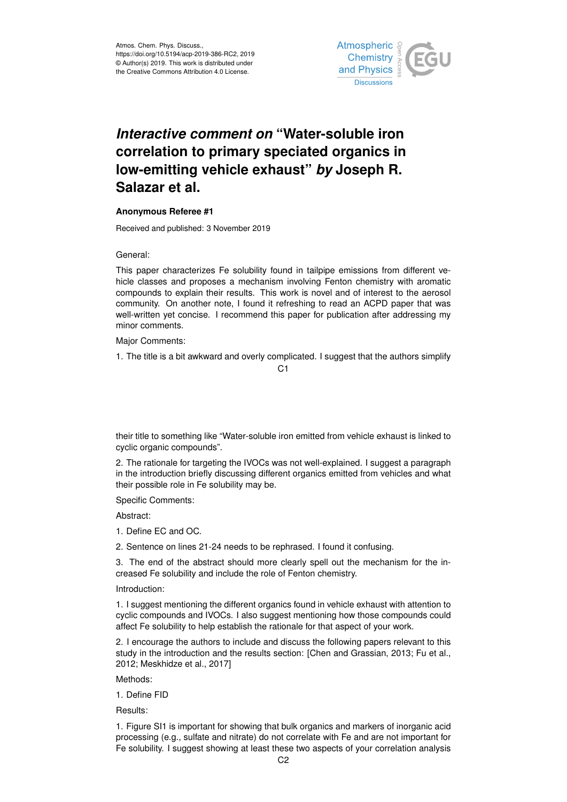

# *Interactive comment on* **"Water-soluble iron correlation to primary speciated organics in low-emitting vehicle exhaust"** *by* **Joseph R. Salazar et al.**

## **Anonymous Referee #1**

Received and published: 3 November 2019

General:

This paper characterizes Fe solubility found in tailpipe emissions from different vehicle classes and proposes a mechanism involving Fenton chemistry with aromatic compounds to explain their results. This work is novel and of interest to the aerosol community. On another note, I found it refreshing to read an ACPD paper that was well-written yet concise. I recommend this paper for publication after addressing my minor comments.

Major Comments:

1. The title is a bit awkward and overly complicated. I suggest that the authors simplify

 $C<sub>1</sub>$ 

their title to something like "Water-soluble iron emitted from vehicle exhaust is linked to cyclic organic compounds".

2. The rationale for targeting the IVOCs was not well-explained. I suggest a paragraph in the introduction briefly discussing different organics emitted from vehicles and what their possible role in Fe solubility may be.

Specific Comments:

Abstract:

- 1. Define EC and OC.
- 2. Sentence on lines 21-24 needs to be rephrased. I found it confusing.

3. The end of the abstract should more clearly spell out the mechanism for the increased Fe solubility and include the role of Fenton chemistry.

Introduction:

1. I suggest mentioning the different organics found in vehicle exhaust with attention to cyclic compounds and IVOCs. I also suggest mentioning how those compounds could affect Fe solubility to help establish the rationale for that aspect of your work.

2. I encourage the authors to include and discuss the following papers relevant to this study in the introduction and the results section: [Chen and Grassian, 2013; Fu et al., 2012; Meskhidze et al., 2017]

Methods:

1. Define FID

Results:

1. Figure SI1 is important for showing that bulk organics and markers of inorganic acid processing (e.g., sulfate and nitrate) do not correlate with Fe and are not important for Fe solubility. I suggest showing at least these two aspects of your correlation analysis